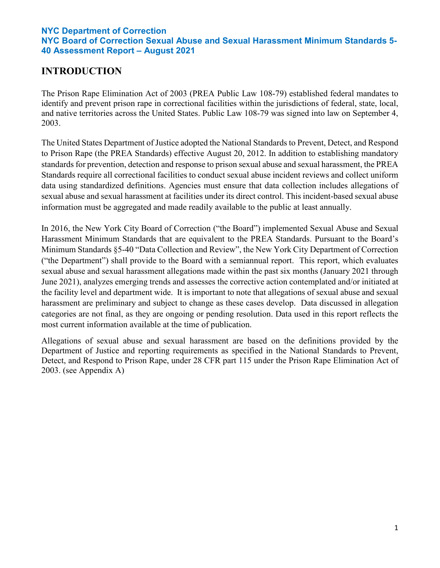# **INTRODUCTION**

The Prison Rape Elimination Act of 2003 (PREA Public Law 108-79) established federal mandates to identify and prevent prison rape in correctional facilities within the jurisdictions of federal, state, local, and native territories across the United States. Public Law 108-79 was signed into law on September 4, 2003.

The United States Department of Justice adopted the National Standards to Prevent, Detect, and Respond to Prison Rape (the PREA Standards) effective August 20, 2012. In addition to establishing mandatory standards for prevention, detection and response to prison sexual abuse and sexual harassment, the PREA Standards require all correctional facilities to conduct sexual abuse incident reviews and collect uniform data using standardized definitions. Agencies must ensure that data collection includes allegations of sexual abuse and sexual harassment at facilities under its direct control. This incident-based sexual abuse information must be aggregated and made readily available to the public at least annually.

In 2016, the New York City Board of Correction ("the Board") implemented Sexual Abuse and Sexual Harassment Minimum Standards that are equivalent to the PREA Standards. Pursuant to the Board's Minimum Standards §5-40 "Data Collection and Review", the New York City Department of Correction ("the Department") shall provide to the Board with a semiannual report. This report, which evaluates sexual abuse and sexual harassment allegations made within the past six months (January 2021 through June 2021), analyzes emerging trends and assesses the corrective action contemplated and/or initiated at the facility level and department wide. It is important to note that allegations of sexual abuse and sexual harassment are preliminary and subject to change as these cases develop. Data discussed in allegation categories are not final, as they are ongoing or pending resolution. Data used in this report reflects the most current information available at the time of publication.

Allegations of sexual abuse and sexual harassment are based on the definitions provided by the Department of Justice and reporting requirements as specified in the National Standards to Prevent, Detect, and Respond to Prison Rape, under 28 CFR part 115 under the Prison Rape Elimination Act of 2003. (see Appendix A)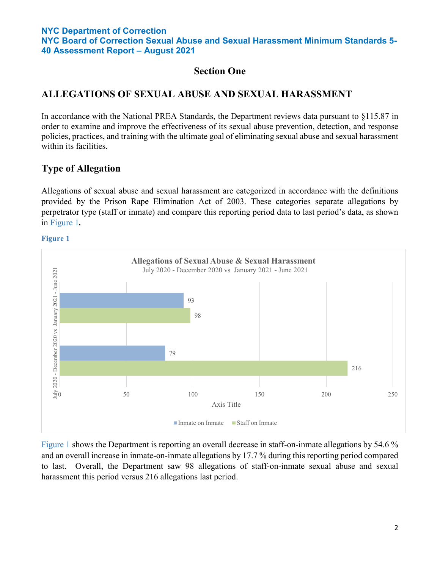**NYC Board of Correction Sexual Abuse and Sexual Harassment Minimum Standards 5- 40 Assessment Report – August 2021**

## **Section One**

## **ALLEGATIONS OF SEXUAL ABUSE AND SEXUAL HARASSMENT**

In accordance with the National PREA Standards, the Department reviews data pursuant to §115.87 in order to examine and improve the effectiveness of its sexual abuse prevention, detection, and response policies, practices, and training with the ultimate goal of eliminating sexual abuse and sexual harassment within its facilities.

## **Type of Allegation**

Allegations of sexual abuse and sexual harassment are categorized in accordance with the definitions provided by the Prison Rape Elimination Act of 2003. These categories separate allegations by perpetrator type (staff or inmate) and compare this reporting period data to last period's data, as shown in Figure 1*.* 

#### **Figure 1**



Figure 1 shows the Department is reporting an overall decrease in staff-on-inmate allegations by 54.6 % and an overall increase in inmate-on-inmate allegations by 17.7 % during this reporting period compared to last. Overall, the Department saw 98 allegations of staff-on-inmate sexual abuse and sexual harassment this period versus 216 allegations last period.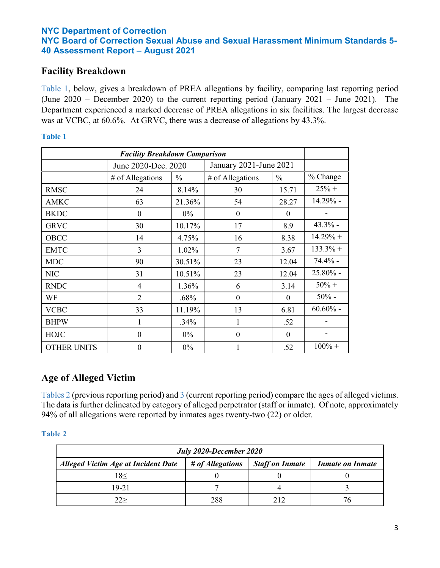## **Facility Breakdown**

Table 1, below, gives a breakdown of PREA allegations by facility, comparing last reporting period (June 2020 – December 2020) to the current reporting period (January 2021 – June 2021). The Department experienced a marked decrease of PREA allegations in six facilities. The largest decrease was at VCBC, at 60.6%. At GRVC, there was a decrease of allegations by 43.3%.

#### **Table 1**

| <b>Facility Breakdown Comparison</b> |                     |               |                        |               |             |
|--------------------------------------|---------------------|---------------|------------------------|---------------|-------------|
|                                      | June 2020-Dec. 2020 |               | January 2021-June 2021 |               |             |
|                                      | # of Allegations    | $\frac{0}{0}$ | # of Allegations       | $\frac{0}{0}$ | % Change    |
| <b>RMSC</b>                          | 24                  | 8.14%         | 30                     | 15.71         | $25% +$     |
| <b>AMKC</b>                          | 63                  | 21.36%        | 54                     | 28.27         | 14.29% -    |
| <b>BKDC</b>                          | $\theta$            | $0\%$         | $\theta$               | $\Omega$      |             |
| <b>GRVC</b>                          | 30                  | 10.17%        | 17                     | 8.9           | $43.3\%$ -  |
| OBCC                                 | 14                  | 4.75%         | 16                     | 8.38          | $14.29% +$  |
| <b>EMTC</b>                          | 3                   | 1.02%         | 7                      | 3.67          | $133.3%$ +  |
| <b>MDC</b>                           | 90                  | 30.51%        | 23                     | 12.04         | $74.4%$ -   |
| <b>NIC</b>                           | 31                  | 10.51%        | 23                     | 12.04         | 25.80% -    |
| <b>RNDC</b>                          | 4                   | 1.36%         | 6                      | 3.14          | $50% +$     |
| WF                                   | $\overline{2}$      | .68%          | $\theta$               | $\theta$      | $50%$ -     |
| <b>VCBC</b>                          | 33                  | 11.19%        | 13                     | 6.81          | $60.60\%$ - |
| <b>BHPW</b>                          | 1                   | .34%          | 1                      | .52           |             |
| <b>HOJC</b>                          | $\boldsymbol{0}$    | $0\%$         | $\theta$               | $\Omega$      |             |
| <b>OTHER UNITS</b>                   | $\boldsymbol{0}$    | 0%            |                        | .52           | $100% +$    |

## **Age of Alleged Victim**

Tables 2 (previous reporting period) and 3 (current reporting period) compare the ages of alleged victims. The data is further delineated by category of alleged perpetrator (staff or inmate). Of note, approximately 94% of all allegations were reported by inmates ages twenty-two (22) or older.

| July 2020-December 2020                    |                  |                        |                         |  |  |
|--------------------------------------------|------------------|------------------------|-------------------------|--|--|
| <b>Alleged Victim Age at Incident Date</b> | # of Allegations | <b>Staff on Inmate</b> | <i>Inmate on Inmate</i> |  |  |
| 18<                                        |                  |                        |                         |  |  |
| 19-21                                      |                  |                        |                         |  |  |
| フフン                                        | 288              |                        |                         |  |  |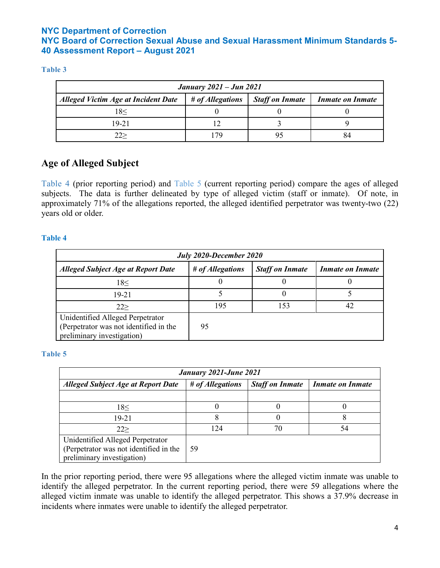#### **Table 3**

| <b>January 2021 – Jun 2021</b>             |                  |                        |                         |  |
|--------------------------------------------|------------------|------------------------|-------------------------|--|
| <b>Alleged Victim Age at Incident Date</b> | # of Allegations | <b>Staff on Inmate</b> | <i>Inmate on Inmate</i> |  |
| 18<                                        |                  |                        |                         |  |
| 19-21                                      |                  |                        |                         |  |
| 22>                                        | 17Q              |                        | 84                      |  |

# **Age of Alleged Subject**

Table 4 (prior reporting period) and Table 5 (current reporting period) compare the ages of alleged subjects. The data is further delineated by type of alleged victim (staff or inmate). Of note, in approximately 71% of the allegations reported, the alleged identified perpetrator was twenty-two (22) years old or older.

### **Table 4**

| July 2020-December 2020                                                                                  |                  |                        |                         |  |  |
|----------------------------------------------------------------------------------------------------------|------------------|------------------------|-------------------------|--|--|
| <b>Alleged Subject Age at Report Date</b>                                                                | # of Allegations | <b>Staff on Inmate</b> | <b>Inmate on Inmate</b> |  |  |
| 18<                                                                                                      |                  |                        |                         |  |  |
| 19-21                                                                                                    |                  |                        |                         |  |  |
| 22                                                                                                       | 195              | 153                    |                         |  |  |
| Unidentified Alleged Perpetrator<br>(Perpetrator was not identified in the<br>preliminary investigation) | 95               |                        |                         |  |  |

### **Table 5**

| January 2021-June 2021                                                                                   |                  |                        |                         |  |  |
|----------------------------------------------------------------------------------------------------------|------------------|------------------------|-------------------------|--|--|
| <b>Alleged Subject Age at Report Date</b>                                                                | # of Allegations | <b>Staff on Inmate</b> | <i>Inmate on Inmate</i> |  |  |
|                                                                                                          |                  |                        |                         |  |  |
| 18<                                                                                                      |                  |                        |                         |  |  |
| 19-21                                                                                                    |                  |                        |                         |  |  |
| 22                                                                                                       | 124              | 70                     | 54                      |  |  |
| Unidentified Alleged Perpetrator<br>(Perpetrator was not identified in the<br>preliminary investigation) | 59               |                        |                         |  |  |

In the prior reporting period, there were 95 allegations where the alleged victim inmate was unable to identify the alleged perpetrator. In the current reporting period, there were 59 allegations where the alleged victim inmate was unable to identify the alleged perpetrator. This shows a 37.9% decrease in incidents where inmates were unable to identify the alleged perpetrator.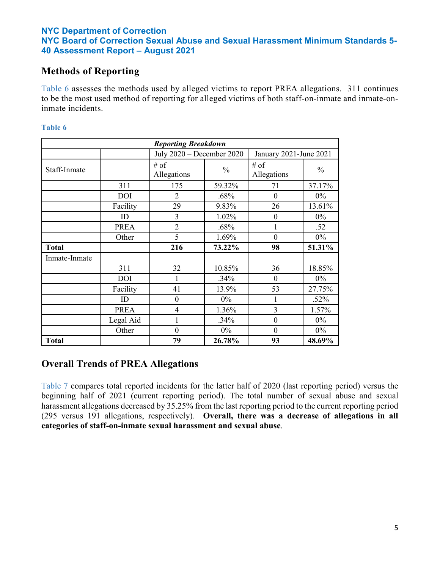## **Methods of Reporting**

Table 6 assesses the methods used by alleged victims to report PREA allegations. 311 continues to be the most used method of reporting for alleged victims of both staff-on-inmate and inmate-oninmate incidents.

#### **Table 6**

| <b>Reporting Breakdown</b> |             |                           |               |                        |               |  |
|----------------------------|-------------|---------------------------|---------------|------------------------|---------------|--|
|                            |             | July 2020 - December 2020 |               | January 2021-June 2021 |               |  |
| Staff-Inmate               |             | $#$ of<br>Allegations     | $\frac{0}{0}$ | # of<br>Allegations    | $\frac{0}{0}$ |  |
|                            | 311         | 175                       | 59.32%        | 71                     | 37.17%        |  |
|                            | <b>DOI</b>  | $\overline{2}$            | .68%          | $\overline{0}$         | 0%            |  |
|                            | Facility    | 29                        | 9.83%         | 26                     | 13.61%        |  |
|                            | ID          | 3                         | 1.02%         | $\boldsymbol{0}$       | $0\%$         |  |
|                            | <b>PREA</b> | $\overline{2}$            | .68%          |                        | .52           |  |
|                            | Other       | 5                         | 1.69%         | $\theta$               | 0%            |  |
| <b>Total</b>               |             | 216                       | 73.22%        | 98                     | 51.31%        |  |
| Inmate-Inmate              |             |                           |               |                        |               |  |
|                            | 311         | 32                        | 10.85%        | 36                     | 18.85%        |  |
|                            | DOI         | 1                         | .34%          | $\theta$               | $0\%$         |  |
|                            | Facility    | 41                        | 13.9%         | 53                     | 27.75%        |  |
|                            | ID          | $\theta$                  | $0\%$         |                        | .52%          |  |
|                            | <b>PREA</b> | $\overline{4}$            | 1.36%         | 3                      | 1.57%         |  |
|                            | Legal Aid   |                           | .34%          | $\theta$               | 0%            |  |
|                            | Other       | $\boldsymbol{0}$          | $0\%$         | $\boldsymbol{0}$       | $0\%$         |  |
| <b>Total</b>               |             | 79                        | 26.78%        | 93                     | 48.69%        |  |

## **Overall Trends of PREA Allegations**

Table 7 compares total reported incidents for the latter half of 2020 (last reporting period) versus the beginning half of 2021 (current reporting period). The total number of sexual abuse and sexual harassment allegations decreased by 35.25% from the last reporting period to the current reporting period (295 versus 191 allegations, respectively). **Overall, there was a decrease of allegations in all categories of staff-on-inmate sexual harassment and sexual abuse**.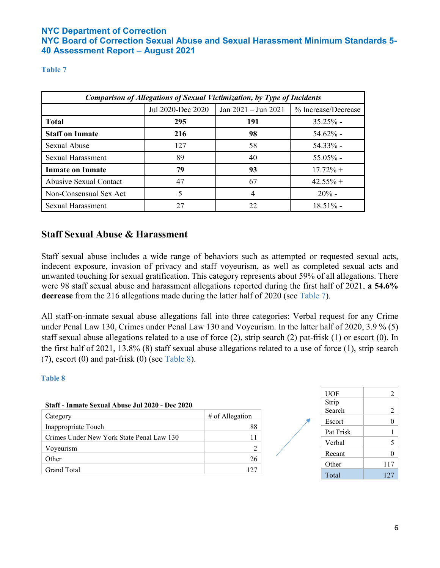### **Table 7**

| <b>Comparison of Allegations of Sexual Victimization, by Type of Incidents</b> |                   |                         |                     |  |  |
|--------------------------------------------------------------------------------|-------------------|-------------------------|---------------------|--|--|
|                                                                                | Jul 2020-Dec 2020 | Jan $2021 -$ Jun $2021$ | % Increase/Decrease |  |  |
| <b>Total</b>                                                                   | 295               | 191                     | $35.25%$ -          |  |  |
| <b>Staff on Inmate</b>                                                         | 216               | 98                      | $54.62\%$ -         |  |  |
| Sexual Abuse                                                                   | 127               | 58                      | $54.33\%$ -         |  |  |
| <b>Sexual Harassment</b>                                                       | 89                | 40                      | $55.05\%$ -         |  |  |
| <b>Inmate on Inmate</b>                                                        | 79                | 93                      | $17.72\% +$         |  |  |
| <b>Abusive Sexual Contact</b>                                                  | 47                | 67                      | $42.55% +$          |  |  |
| Non-Consensual Sex Act                                                         | 5                 | 4                       | $20% -$             |  |  |
| <b>Sexual Harassment</b>                                                       | 27                | 22                      | $18.51\%$ -         |  |  |

## **Staff Sexual Abuse & Harassment**

Staff sexual abuse includes a wide range of behaviors such as attempted or requested sexual acts, indecent exposure, invasion of privacy and staff voyeurism, as well as completed sexual acts and unwanted touching for sexual gratification. This category represents about 59% of all allegations. There were 98 staff sexual abuse and harassment allegations reported during the first half of 2021, **a 54.6% decrease** from the 216 allegations made during the latter half of 2020 (see Table 7).

All staff-on-inmate sexual abuse allegations fall into three categories: Verbal request for any Crime under Penal Law 130, Crimes under Penal Law 130 and Voyeurism. In the latter half of 2020, 3.9 % (5) staff sexual abuse allegations related to a use of force (2), strip search (2) pat-frisk (1) or escort (0). In the first half of 2021, 13.8% (8) staff sexual abuse allegations related to a use of force (1), strip search  $(7)$ , escort  $(0)$  and pat-frisk  $(0)$  (see Table 8).

| Staff - Inmate Sexual Abuse Jul 2020 - Dec 2020 |                   |  |
|-------------------------------------------------|-------------------|--|
| Category                                        | $#$ of Allegation |  |
| Inappropriate Touch                             | 88                |  |
| Crimes Under New York State Penal Law 130       | 11                |  |
| Voyeurism                                       |                   |  |
| Other                                           | 26                |  |
| Grand Total                                     | 12.7              |  |

| <b>UOF</b> | 2   |
|------------|-----|
| Strip      |     |
| Search     | 2   |
| Escort     | 0   |
| Pat Frisk  | 1   |
| Verbal     | 5   |
| Recant     | 0   |
| Other      | 117 |
| Total      | 127 |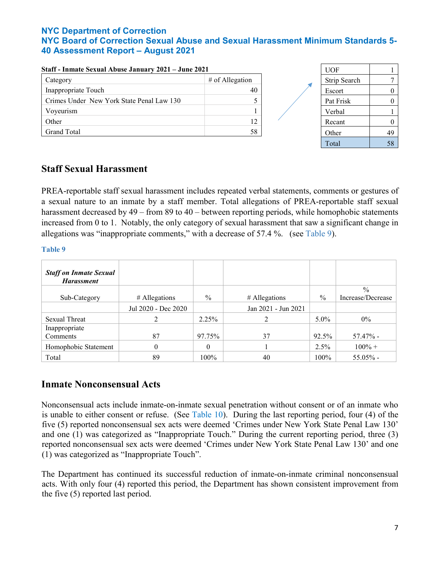| Staff - Inmate Sexual Abuse January 2021 – June 2021 |                   | <b>UOF</b>   |          |
|------------------------------------------------------|-------------------|--------------|----------|
| Category                                             | $#$ of Allegation | Strip Search |          |
| Inappropriate Touch                                  | 40                | Escort       | $\theta$ |
| Crimes Under New York State Penal Law 130            |                   | Pat Frisk    | $\Omega$ |
| Voyeurism                                            |                   | Verbal       |          |
| Other                                                | 12                | Recant       | $\Omega$ |
| Grand Total                                          | 58                | Other        | 49       |
|                                                      |                   | Total        | 58       |

### **Staff - Inmate Sexual Abuse January 2021 – June 2021**

## **Staff Sexual Harassment**

PREA-reportable staff sexual harassment includes repeated verbal statements, comments or gestures of a sexual nature to an inmate by a staff member. Total allegations of PREA-reportable staff sexual harassment decreased by 49 – from 89 to 40 – between reporting periods, while homophobic statements increased from 0 to 1. Notably, the only category of sexual harassment that saw a significant change in allegations was "inappropriate comments," with a decrease of 57.4 %. (see Table 9).

#### **Table 9**

| <b>Staff on Inmate Sexual</b><br><b>Harassment</b> |                     |               |                     |               |                   |
|----------------------------------------------------|---------------------|---------------|---------------------|---------------|-------------------|
|                                                    |                     |               |                     |               | $\frac{0}{0}$     |
| Sub-Category                                       | $#$ Allegations     | $\frac{0}{0}$ | $#$ Allegations     | $\frac{0}{0}$ | Increase/Decrease |
|                                                    | Jul 2020 - Dec 2020 |               | Jan 2021 - Jun 2021 |               |                   |
| <b>Sexual Threat</b>                               | 2                   | 2.25%         |                     | $5.0\%$       | $0\%$             |
| Inappropriate                                      |                     |               |                     |               |                   |
| Comments                                           | 87                  | 97.75%        | 37                  | 92.5%         | $57.47\%$ -       |
| Homophobic Statement                               | 0                   | $\Omega$      |                     | 2.5%          | $100\% +$         |
| Total                                              | 89                  | 100%          | 40                  | 100%          | $55.05\%$ -       |

## **Inmate Nonconsensual Acts**

Nonconsensual acts include inmate-on-inmate sexual penetration without consent or of an inmate who is unable to either consent or refuse. (See Table 10). During the last reporting period, four (4) of the five (5) reported nonconsensual sex acts were deemed 'Crimes under New York State Penal Law 130' and one (1) was categorized as "Inappropriate Touch." During the current reporting period, three (3) reported nonconsensual sex acts were deemed 'Crimes under New York State Penal Law 130' and one (1) was categorized as "Inappropriate Touch".

The Department has continued its successful reduction of inmate-on-inmate criminal nonconsensual acts. With only four (4) reported this period, the Department has shown consistent improvement from the five (5) reported last period.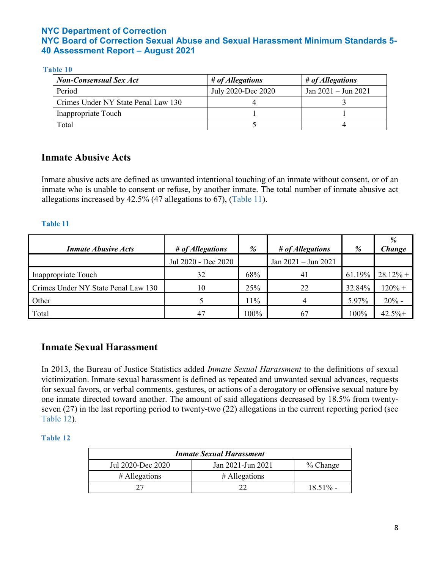#### **Table 10**

| <b>Non-Consensual Sex Act</b>       | # of Allegations   | # of Allegations      |
|-------------------------------------|--------------------|-----------------------|
| Period                              | July 2020-Dec 2020 | $Jan 2021 - Jun 2021$ |
| Crimes Under NY State Penal Law 130 |                    |                       |
| Inappropriate Touch                 |                    |                       |
| Total                               |                    |                       |

## **Inmate Abusive Acts**

Inmate abusive acts are defined as unwanted intentional touching of an inmate without consent, or of an inmate who is unable to consent or refuse, by another inmate. The total number of inmate abusive act allegations increased by 42.5% (47 allegations to 67), (Table 11).

#### **Table 11**

| <b>Inmate Abusive Acts</b>          | # of Allegations    | %    | # of Allegations        | %      | %<br>Change |
|-------------------------------------|---------------------|------|-------------------------|--------|-------------|
|                                     | Jul 2020 - Dec 2020 |      | Jan $2021 -$ Jun $2021$ |        |             |
| Inappropriate Touch                 | 32                  | 68%  | 41                      | 61.19% | $28.12%$ +  |
| Crimes Under NY State Penal Law 130 | 10                  | 25%  | 22                      | 32.84% | $120% +$    |
| Other                               |                     | 11%  | 4                       | 5.97%  | $20%$ -     |
| Total                               | 47                  | 100% | 67                      | 100%   | 42.5%       |

## **Inmate Sexual Harassment**

In 2013, the Bureau of Justice Statistics added *Inmate Sexual Harassment* to the definitions of sexual victimization. Inmate sexual harassment is defined as repeated and unwanted sexual advances, requests for sexual favors, or verbal comments, gestures, or actions of a derogatory or offensive sexual nature by one inmate directed toward another. The amount of said allegations decreased by 18.5% from twentyseven (27) in the last reporting period to twenty-two (22) allegations in the current reporting period (see Table 12).

| <b>Inmate Sexual Harassment</b> |                   |             |  |  |  |
|---------------------------------|-------------------|-------------|--|--|--|
| Jul 2020-Dec 2020               | Jan 2021-Jun 2021 | % Change    |  |  |  |
| $#$ Allegations                 | $#$ Allegations   |             |  |  |  |
|                                 |                   | $18.51\%$ - |  |  |  |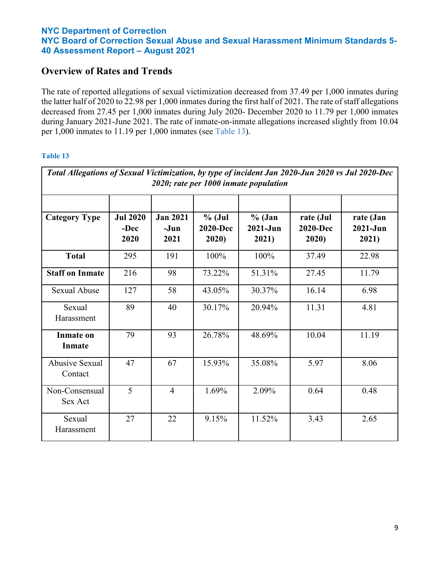## **Overview of Rates and Trends**

The rate of reported allegations of sexual victimization decreased from 37.49 per 1,000 inmates during the latter half of 2020 to 22.98 per 1,000 inmates during the first half of 2021. The rate of staff allegations decreased from 27.45 per 1,000 inmates during July 2020- December 2020 to 11.79 per 1,000 inmates during January 2021-June 2021. The rate of inmate-on-inmate allegations increased slightly from 10.04 per 1,000 inmates to 11.19 per 1,000 inmates (see Table 13).

| Total Allegations of Sexual Victimization, by type of incident Jan 2020-Jun 2020 vs Jul 2020-Dec<br>2020; rate per 1000 inmate population |                                 |                                 |                                     |                                   |                                       |                                  |  |
|-------------------------------------------------------------------------------------------------------------------------------------------|---------------------------------|---------------------------------|-------------------------------------|-----------------------------------|---------------------------------------|----------------------------------|--|
| <b>Category Type</b>                                                                                                                      | <b>Jul 2020</b><br>-Dec<br>2020 | <b>Jan 2021</b><br>-Jun<br>2021 | $%$ (Jul<br><b>2020-Dec</b><br>2020 | $%$ (Jan<br>$2021 - Jun$<br>2021) | rate (Jul<br><b>2020-Dec</b><br>2020) | rate (Jan<br>$2021-Jun$<br>2021) |  |
| <b>Total</b>                                                                                                                              | 295                             | 191                             | 100%                                | 100%                              | 37.49                                 | 22.98                            |  |
| <b>Staff on Inmate</b>                                                                                                                    | 216                             | 98                              | 73.22%                              | 51.31%                            | 27.45                                 | 11.79                            |  |
| <b>Sexual Abuse</b>                                                                                                                       | 127                             | 58                              | 43.05%                              | 30.37%                            | 16.14                                 | 6.98                             |  |
| Sexual<br>Harassment                                                                                                                      | 89                              | 40                              | 30.17%                              | 20.94%                            | 11.31                                 | 4.81                             |  |
| <b>Inmate on</b><br><b>Inmate</b>                                                                                                         | 79                              | 93                              | 26.78%                              | 48.69%                            | 10.04                                 | 11.19                            |  |
| <b>Abusive Sexual</b><br>Contact                                                                                                          | 47                              | 67                              | 15.93%                              | 35.08%                            | 5.97                                  | 8.06                             |  |
| Non-Consensual<br>Sex Act                                                                                                                 | 5                               | $\overline{4}$                  | 1.69%                               | 2.09%                             | 0.64                                  | 0.48                             |  |
| Sexual<br>Harassment                                                                                                                      | 27                              | 22                              | 9.15%                               | 11.52%                            | 3.43                                  | 2.65                             |  |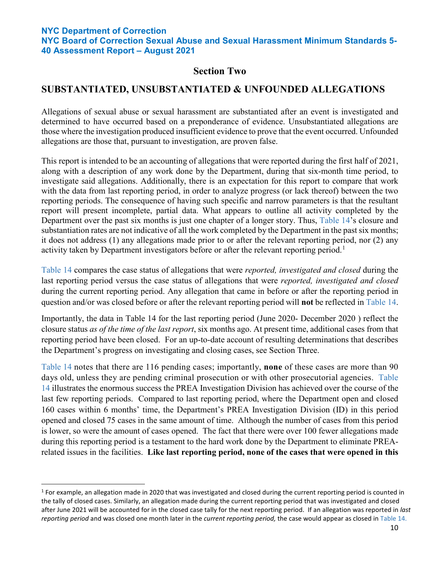**NYC Board of Correction Sexual Abuse and Sexual Harassment Minimum Standards 5- 40 Assessment Report – August 2021**

## **Section Two**

## **SUBSTANTIATED, UNSUBSTANTIATED & UNFOUNDED ALLEGATIONS**

Allegations of sexual abuse or sexual harassment are substantiated after an event is investigated and determined to have occurred based on a preponderance of evidence. Unsubstantiated allegations are those where the investigation produced insufficient evidence to prove that the event occurred. Unfounded allegations are those that, pursuant to investigation, are proven false.

This report is intended to be an accounting of allegations that were reported during the first half of 2021, along with a description of any work done by the Department, during that six-month time period, to investigate said allegations. Additionally, there is an expectation for this report to compare that work with the data from last reporting period, in order to analyze progress (or lack thereof) between the two reporting periods. The consequence of having such specific and narrow parameters is that the resultant report will present incomplete, partial data. What appears to outline all activity completed by the Department over the past six months is just one chapter of a longer story. Thus, Table 14's closure and substantiation rates are not indicative of all the work completed by the Department in the past six months; it does not address (1) any allegations made prior to or after the relevant reporting period, nor (2) any activity taken by Department investigators before or after the relevant reporting period.<sup>[1](#page-9-0)</sup>

Table 14 compares the case status of allegations that were *reported, investigated and closed* during the last reporting period versus the case status of allegations that were *reported, investigated and closed*  during the current reporting period. Any allegation that came in before or after the reporting period in question and/or was closed before or after the relevant reporting period will **not** be reflected in Table 14.

Importantly, the data in Table 14 for the last reporting period (June 2020- December 2020 ) reflect the closure status *as of the time of the last report*, six months ago. At present time, additional cases from that reporting period have been closed. For an up-to-date account of resulting determinations that describes the Department's progress on investigating and closing cases, see Section Three.

Table 14 notes that there are 116 pending cases; importantly, **none** of these cases are more than 90 days old, unless they are pending criminal prosecution or with other prosecutorial agencies. Table 14 illustrates the enormous success the PREA Investigation Division has achieved over the course of the last few reporting periods. Compared to last reporting period, where the Department open and closed 160 cases within 6 months' time, the Department's PREA Investigation Division (ID) in this period opened and closed 75 cases in the same amount of time. Although the number of cases from this period is lower, so were the amount of cases opened. The fact that there were over 100 fewer allegations made during this reporting period is a testament to the hard work done by the Department to eliminate PREArelated issues in the facilities. **Like last reporting period, none of the cases that were opened in this** 

<span id="page-9-0"></span> $1$  For example, an allegation made in 2020 that was investigated and closed during the current reporting period is counted in the tally of closed cases. Similarly, an allegation made during the current reporting period that was investigated and closed after June 2021 will be accounted for in the closed case tally for the next reporting period. If an allegation was reported in *last reporting period* and was closed one month later in the *current reporting period,* the case would appear as closed in Table 14.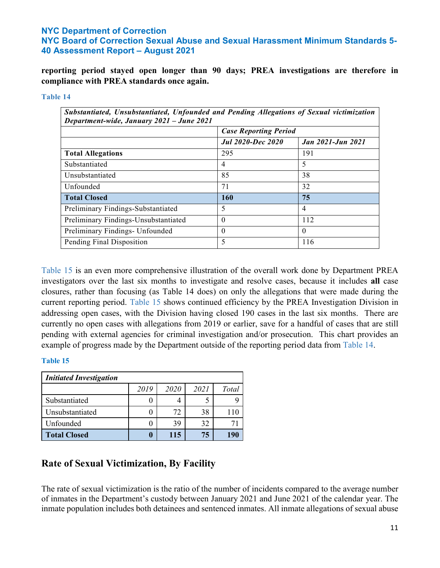**NYC Board of Correction Sexual Abuse and Sexual Harassment Minimum Standards 5- 40 Assessment Report – August 2021**

**reporting period stayed open longer than 90 days; PREA investigations are therefore in compliance with PREA standards once again.**

#### **Table 14**

| Substantiated, Unsubstantiated, Unfounded and Pending Allegations of Sexual victimization<br>Department-wide, January 2021 - June 2021 |                              |                          |  |  |  |
|----------------------------------------------------------------------------------------------------------------------------------------|------------------------------|--------------------------|--|--|--|
|                                                                                                                                        | <b>Case Reporting Period</b> |                          |  |  |  |
|                                                                                                                                        | <b>Jul 2020-Dec 2020</b>     | <b>Jan 2021-Jun 2021</b> |  |  |  |
| <b>Total Allegations</b>                                                                                                               | 295                          | 191                      |  |  |  |
| Substantiated                                                                                                                          | 4                            | 5                        |  |  |  |
| Unsubstantiated                                                                                                                        | 85                           | 38                       |  |  |  |
| Unfounded                                                                                                                              | 71                           | 32                       |  |  |  |
| <b>Total Closed</b>                                                                                                                    | <b>160</b>                   | 75                       |  |  |  |
| Preliminary Findings-Substantiated                                                                                                     | 5                            | 4                        |  |  |  |
| Preliminary Findings-Unsubstantiated                                                                                                   | $\theta$                     | 112                      |  |  |  |
| Preliminary Findings- Unfounded                                                                                                        | $\theta$                     | 0                        |  |  |  |
| Pending Final Disposition                                                                                                              | 5                            | 116                      |  |  |  |

Table 15 is an even more comprehensive illustration of the overall work done by Department PREA investigators over the last six months to investigate and resolve cases, because it includes **all** case closures, rather than focusing (as Table 14 does) on only the allegations that were made during the current reporting period. Table 15 shows continued efficiency by the PREA Investigation Division in addressing open cases, with the Division having closed 190 cases in the last six months. There are currently no open cases with allegations from 2019 or earlier, save for a handful of cases that are still pending with external agencies for criminal investigation and/or prosecution. This chart provides an example of progress made by the Department outside of the reporting period data from Table 14.

#### **Table 15**

| <b>Initiated Investigation</b> |      |             |      |       |  |  |  |  |
|--------------------------------|------|-------------|------|-------|--|--|--|--|
|                                | 2019 | <i>2020</i> | 2021 | Total |  |  |  |  |
| Substantiated                  |      |             |      |       |  |  |  |  |
| Unsubstantiated                |      | 72          | 38   |       |  |  |  |  |
| Unfounded                      |      | 39          | 32   |       |  |  |  |  |
| <b>Total Closed</b>            |      | 115         | 75   | 191   |  |  |  |  |

## **Rate of Sexual Victimization, By Facility**

The rate of sexual victimization is the ratio of the number of incidents compared to the average number of inmates in the Department's custody between January 2021 and June 2021 of the calendar year. The inmate population includes both detainees and sentenced inmates. All inmate allegations of sexual abuse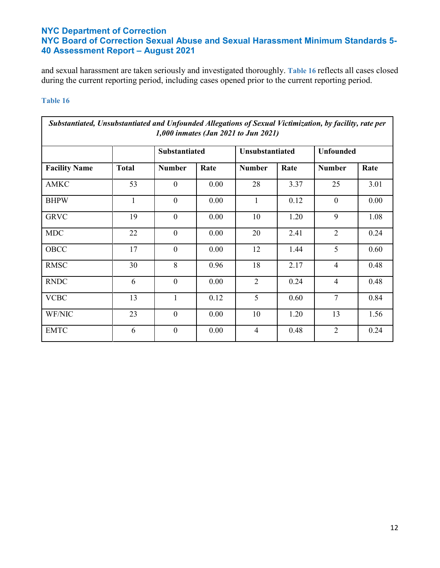and sexual harassment are taken seriously and investigated thoroughly. **Table 16** reflects all cases closed during the current reporting period, including cases opened prior to the current reporting period.

| Substantiated, Unsubstantiated and Unfounded Allegations of Sexual Victimization, by facility, rate per<br>1,000 inmates (Jan 2021 to Jun 2021) |              |                  |      |                |                 |                |                  |  |
|-------------------------------------------------------------------------------------------------------------------------------------------------|--------------|------------------|------|----------------|-----------------|----------------|------------------|--|
|                                                                                                                                                 |              | Substantiated    |      |                | Unsubstantiated |                | <b>Unfounded</b> |  |
| <b>Facility Name</b>                                                                                                                            | <b>Total</b> | <b>Number</b>    | Rate | <b>Number</b>  | Rate            | <b>Number</b>  | Rate             |  |
| <b>AMKC</b>                                                                                                                                     | 53           | $\mathbf{0}$     | 0.00 | 28             | 3.37            | 25             | 3.01             |  |
| <b>BHPW</b>                                                                                                                                     | $\mathbf{1}$ | $\overline{0}$   | 0.00 | $\mathbf{1}$   | 0.12            | $\mathbf{0}$   | 0.00             |  |
| <b>GRVC</b>                                                                                                                                     | 19           | $\mathbf{0}$     | 0.00 | 10             | 1.20            | 9              | 1.08             |  |
| <b>MDC</b>                                                                                                                                      | 22           | $\overline{0}$   | 0.00 | 20             | 2.41            | $\overline{2}$ | 0.24             |  |
| OBCC                                                                                                                                            | 17           | $\mathbf{0}$     | 0.00 | 12             | 1.44            | 5              | 0.60             |  |
| <b>RMSC</b>                                                                                                                                     | 30           | 8                | 0.96 | 18             | 2.17            | $\overline{4}$ | 0.48             |  |
| <b>RNDC</b>                                                                                                                                     | 6            | $\overline{0}$   | 0.00 | $\overline{2}$ | 0.24            | $\overline{4}$ | 0.48             |  |
| <b>VCBC</b>                                                                                                                                     | 13           | $\mathbf{1}$     | 0.12 | 5              | 0.60            | $\tau$         | 0.84             |  |
| WF/NIC                                                                                                                                          | 23           | $\overline{0}$   | 0.00 | 10             | 1.20            | 13             | 1.56             |  |
| <b>EMTC</b>                                                                                                                                     | 6            | $\boldsymbol{0}$ | 0.00 | $\overline{4}$ | 0.48            | 2              | 0.24             |  |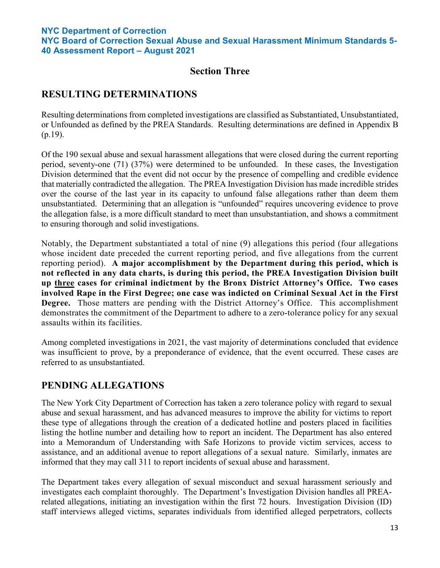## **Section Three**

# **RESULTING DETERMINATIONS**

Resulting determinations from completed investigations are classified as Substantiated, Unsubstantiated, or Unfounded as defined by the PREA Standards. Resulting determinations are defined in Appendix B (p.19).

Of the 190 sexual abuse and sexual harassment allegations that were closed during the current reporting period, seventy-one (71) (37%) were determined to be unfounded. In these cases, the Investigation Division determined that the event did not occur by the presence of compelling and credible evidence that materially contradicted the allegation. The PREA Investigation Division has made incredible strides over the course of the last year in its capacity to unfound false allegations rather than deem them unsubstantiated. Determining that an allegation is "unfounded" requires uncovering evidence to prove the allegation false, is a more difficult standard to meet than unsubstantiation, and shows a commitment to ensuring thorough and solid investigations.

Notably, the Department substantiated a total of nine (9) allegations this period (four allegations whose incident date preceded the current reporting period, and five allegations from the current reporting period). **A major accomplishment by the Department during this period, which is not reflected in any data charts, is during this period, the PREA Investigation Division built up three cases for criminal indictment by the Bronx District Attorney's Office. Two cases involved Rape in the First Degree; one case was indicted on Criminal Sexual Act in the First Degree.** Those matters are pending with the District Attorney's Office. This accomplishment demonstrates the commitment of the Department to adhere to a zero-tolerance policy for any sexual assaults within its facilities.

Among completed investigations in 2021, the vast majority of determinations concluded that evidence was insufficient to prove, by a preponderance of evidence, that the event occurred. These cases are referred to as unsubstantiated.

# **PENDING ALLEGATIONS**

The New York City Department of Correction has taken a zero tolerance policy with regard to sexual abuse and sexual harassment, and has advanced measures to improve the ability for victims to report these type of allegations through the creation of a dedicated hotline and posters placed in facilities listing the hotline number and detailing how to report an incident. The Department has also entered into a Memorandum of Understanding with Safe Horizons to provide victim services, access to assistance, and an additional avenue to report allegations of a sexual nature. Similarly, inmates are informed that they may call 311 to report incidents of sexual abuse and harassment.

The Department takes every allegation of sexual misconduct and sexual harassment seriously and investigates each complaint thoroughly. The Department's Investigation Division handles all PREArelated allegations, initiating an investigation within the first 72 hours. Investigation Division (ID) staff interviews alleged victims, separates individuals from identified alleged perpetrators, collects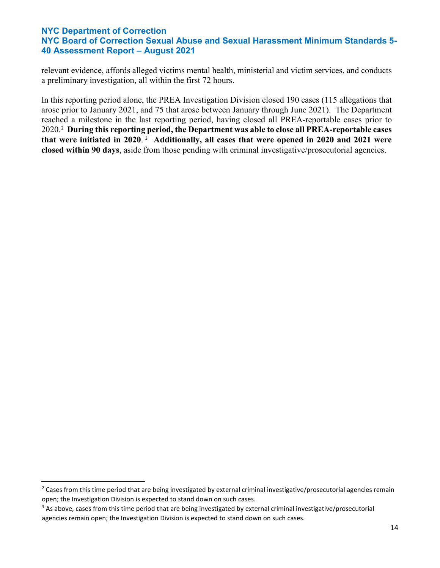relevant evidence, affords alleged victims mental health, ministerial and victim services, and conducts a preliminary investigation, all within the first 72 hours.

In this reporting period alone, the PREA Investigation Division closed 190 cases (115 allegations that arose prior to January 2021, and 75 that arose between January through June 2021). The Department reached a milestone in the last reporting period, having closed all PREA-reportable cases prior to 2020. [2](#page-13-0) **During this reporting period, the Department was able to close all PREA-reportable cases that were initiated in 2020**. [3](#page-13-1) **Additionally, all cases that were opened in 2020 and 2021 were closed within 90 days**, aside from those pending with criminal investigative/prosecutorial agencies.

<span id="page-13-0"></span><sup>&</sup>lt;sup>2</sup> Cases from this time period that are being investigated by external criminal investigative/prosecutorial agencies remain open; the Investigation Division is expected to stand down on such cases.

<span id="page-13-1"></span><sup>&</sup>lt;sup>3</sup> As above, cases from this time period that are being investigated by external criminal investigative/prosecutorial agencies remain open; the Investigation Division is expected to stand down on such cases.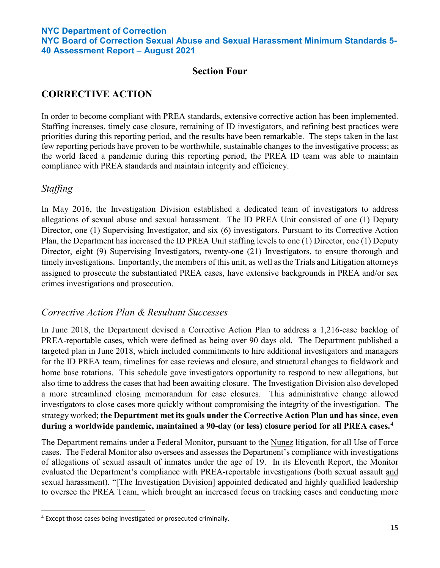**NYC Board of Correction Sexual Abuse and Sexual Harassment Minimum Standards 5- 40 Assessment Report – August 2021**

## **Section Four**

# **CORRECTIVE ACTION**

In order to become compliant with PREA standards, extensive corrective action has been implemented. Staffing increases, timely case closure, retraining of ID investigators, and refining best practices were priorities during this reporting period, and the results have been remarkable. The steps taken in the last few reporting periods have proven to be worthwhile, sustainable changes to the investigative process; as the world faced a pandemic during this reporting period, the PREA ID team was able to maintain compliance with PREA standards and maintain integrity and efficiency.

## *Staffing*

In May 2016, the Investigation Division established a dedicated team of investigators to address allegations of sexual abuse and sexual harassment. The ID PREA Unit consisted of one (1) Deputy Director, one (1) Supervising Investigator, and six (6) investigators. Pursuant to its Corrective Action Plan, the Department has increased the ID PREA Unit staffing levels to one (1) Director, one (1) Deputy Director, eight (9) Supervising Investigators, twenty-one (21) Investigators, to ensure thorough and timely investigations. Importantly, the members of this unit, as well as the Trials and Litigation attorneys assigned to prosecute the substantiated PREA cases, have extensive backgrounds in PREA and/or sex crimes investigations and prosecution.

## *Corrective Action Plan & Resultant Successes*

In June 2018, the Department devised a Corrective Action Plan to address a 1,216-case backlog of PREA-reportable cases, which were defined as being over 90 days old. The Department published a targeted plan in June 2018, which included commitments to hire additional investigators and managers for the ID PREA team, timelines for case reviews and closure, and structural changes to fieldwork and home base rotations. This schedule gave investigators opportunity to respond to new allegations, but also time to address the cases that had been awaiting closure. The Investigation Division also developed a more streamlined closing memorandum for case closures. This administrative change allowed investigators to close cases more quickly without compromising the integrity of the investigation. The strategy worked; **the Department met its goals under the Corrective Action Plan and has since, even during a worldwide pandemic, maintained a 90-day (or less) closure period for all PREA cases. [4](#page-14-0)**

The Department remains under a Federal Monitor, pursuant to the Nunez litigation, for all Use of Force cases. The Federal Monitor also oversees and assesses the Department's compliance with investigations of allegations of sexual assault of inmates under the age of 19. In its Eleventh Report, the Monitor evaluated the Department's compliance with PREA-reportable investigations (both sexual assault and sexual harassment). "[The Investigation Division] appointed dedicated and highly qualified leadership to oversee the PREA Team, which brought an increased focus on tracking cases and conducting more

<span id="page-14-0"></span> <sup>4</sup> Except those cases being investigated or prosecuted criminally.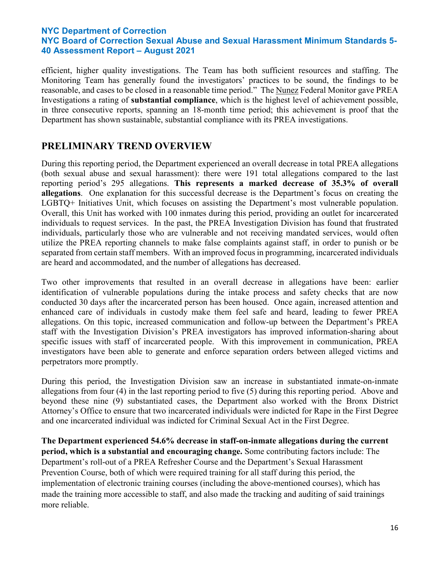efficient, higher quality investigations. The Team has both sufficient resources and staffing. The Monitoring Team has generally found the investigators' practices to be sound, the findings to be reasonable, and cases to be closed in a reasonable time period." The Nunez Federal Monitor gave PREA Investigations a rating of **substantial compliance**, which is the highest level of achievement possible, in three consecutive reports, spanning an 18-month time period; this achievement is proof that the Department has shown sustainable, substantial compliance with its PREA investigations.

## **PRELIMINARY TREND OVERVIEW**

During this reporting period, the Department experienced an overall decrease in total PREA allegations (both sexual abuse and sexual harassment): there were 191 total allegations compared to the last reporting period's 295 allegations. **This represents a marked decrease of 35.3% of overall allegations**. One explanation for this successful decrease is the Department's focus on creating the LGBTQ+ Initiatives Unit, which focuses on assisting the Department's most vulnerable population. Overall, this Unit has worked with 100 inmates during this period, providing an outlet for incarcerated individuals to request services. In the past, the PREA Investigation Division has found that frustrated individuals, particularly those who are vulnerable and not receiving mandated services, would often utilize the PREA reporting channels to make false complaints against staff, in order to punish or be separated from certain staff members. With an improved focus in programming, incarcerated individuals are heard and accommodated, and the number of allegations has decreased.

Two other improvements that resulted in an overall decrease in allegations have been: earlier identification of vulnerable populations during the intake process and safety checks that are now conducted 30 days after the incarcerated person has been housed. Once again, increased attention and enhanced care of individuals in custody make them feel safe and heard, leading to fewer PREA allegations. On this topic, increased communication and follow-up between the Department's PREA staff with the Investigation Division's PREA investigators has improved information-sharing about specific issues with staff of incarcerated people. With this improvement in communication, PREA investigators have been able to generate and enforce separation orders between alleged victims and perpetrators more promptly.

During this period, the Investigation Division saw an increase in substantiated inmate-on-inmate allegations from four (4) in the last reporting period to five (5) during this reporting period. Above and beyond these nine (9) substantiated cases, the Department also worked with the Bronx District Attorney's Office to ensure that two incarcerated individuals were indicted for Rape in the First Degree and one incarcerated individual was indicted for Criminal Sexual Act in the First Degree.

**The Department experienced 54.6% decrease in staff-on-inmate allegations during the current period, which is a substantial and encouraging change.** Some contributing factors include: The Department's roll-out of a PREA Refresher Course and the Department's Sexual Harassment Prevention Course, both of which were required training for all staff during this period, the implementation of electronic training courses (including the above-mentioned courses), which has made the training more accessible to staff, and also made the tracking and auditing of said trainings more reliable.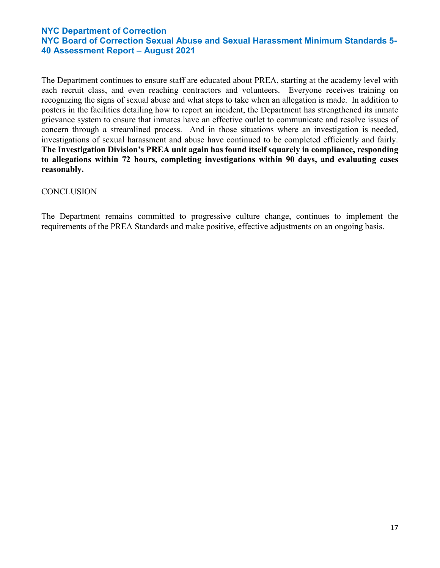The Department continues to ensure staff are educated about PREA, starting at the academy level with each recruit class, and even reaching contractors and volunteers. Everyone receives training on recognizing the signs of sexual abuse and what steps to take when an allegation is made. In addition to posters in the facilities detailing how to report an incident, the Department has strengthened its inmate grievance system to ensure that inmates have an effective outlet to communicate and resolve issues of concern through a streamlined process. And in those situations where an investigation is needed, investigations of sexual harassment and abuse have continued to be completed efficiently and fairly. **The Investigation Division's PREA unit again has found itself squarely in compliance, responding to allegations within 72 hours, completing investigations within 90 days, and evaluating cases reasonably.**

#### **CONCLUSION**

The Department remains committed to progressive culture change, continues to implement the requirements of the PREA Standards and make positive, effective adjustments on an ongoing basis.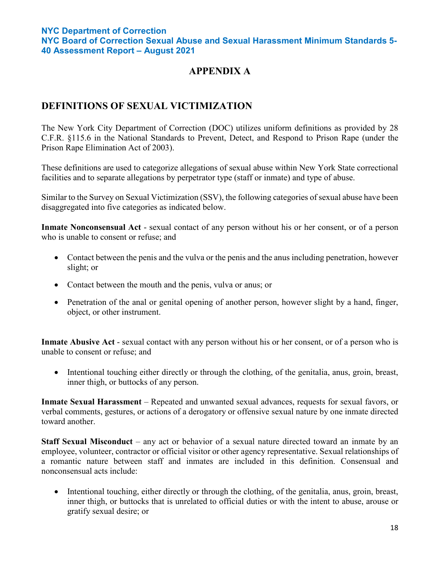# **APPENDIX A**

# **DEFINITIONS OF SEXUAL VICTIMIZATION**

The New York City Department of Correction (DOC) utilizes uniform definitions as provided by 28 C.F.R. §115.6 in the National Standards to Prevent, Detect, and Respond to Prison Rape (under the Prison Rape Elimination Act of 2003).

These definitions are used to categorize allegations of sexual abuse within New York State correctional facilities and to separate allegations by perpetrator type (staff or inmate) and type of abuse.

Similar to the Survey on Sexual Victimization (SSV), the following categories of sexual abuse have been disaggregated into five categories as indicated below.

**Inmate Nonconsensual Act** - sexual contact of any person without his or her consent, or of a person who is unable to consent or refuse; and

- Contact between the penis and the vulva or the penis and the anus including penetration, however slight; or
- Contact between the mouth and the penis, vulva or anus; or
- Penetration of the anal or genital opening of another person, however slight by a hand, finger, object, or other instrument.

**Inmate Abusive Act** - sexual contact with any person without his or her consent, or of a person who is unable to consent or refuse; and

• Intentional touching either directly or through the clothing, of the genitalia, anus, groin, breast, inner thigh, or buttocks of any person.

**Inmate Sexual Harassment** – Repeated and unwanted sexual advances, requests for sexual favors, or verbal comments, gestures, or actions of a derogatory or offensive sexual nature by one inmate directed toward another.

**Staff Sexual Misconduct** – any act or behavior of a sexual nature directed toward an inmate by an employee, volunteer, contractor or official visitor or other agency representative. Sexual relationships of a romantic nature between staff and inmates are included in this definition. Consensual and nonconsensual acts include:

• Intentional touching, either directly or through the clothing, of the genitalia, anus, groin, breast, inner thigh, or buttocks that is unrelated to official duties or with the intent to abuse, arouse or gratify sexual desire; or